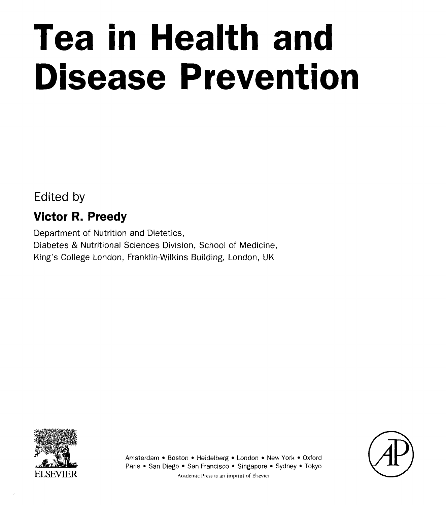# Tea in Health and Disease Prevention

Edited by

# Victor R. Preedy

Department of Nutrition and Dietetics, Diabetes & Nutritional Sciences Division, School of Medicine, King's College London, Franklin-Wilkins Building, London, UK



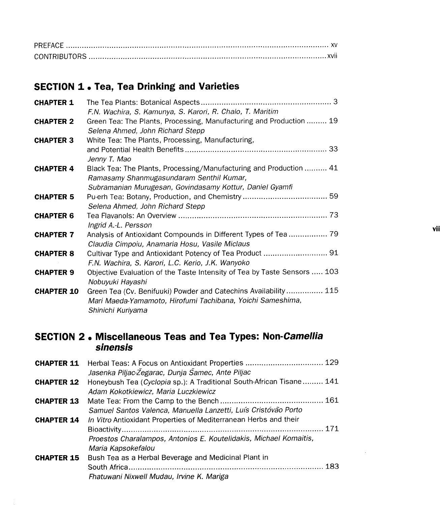#### SECTION 1 . Tea, Tea Drinking and Varieties

| <b>CHAPTER 1</b>  |                                                                                                                                                     |
|-------------------|-----------------------------------------------------------------------------------------------------------------------------------------------------|
|                   | F.N. Wachira, S. Kamunya, S. Karori, R. Chalo, T. Maritim                                                                                           |
| <b>CHAPTER 2</b>  | Green Tea: The Plants, Processing, Manufacturing and Production  19<br>Selena Ahmed, John Richard Stepp                                             |
| <b>CHAPTER 3</b>  | White Tea: The Plants, Processing, Manufacturing,                                                                                                   |
|                   | Jenny T. Mao                                                                                                                                        |
| <b>CHAPTER 4</b>  | Black Tea: The Plants, Processing/Manufacturing and Production  41<br>Ramasamy Shanmugasundaram Senthil Kumar,                                      |
|                   | Subramanian Murugesan, Govindasamy Kottur, Daniel Gyamfi                                                                                            |
| <b>CHAPTER 5</b>  | Selena Ahmed, John Richard Stepp                                                                                                                    |
| <b>CHAPTER 6</b>  | Ingrid A.-L. Persson                                                                                                                                |
| <b>CHAPTER 7</b>  | Analysis of Antioxidant Compounds in Different Types of Tea  79<br>Claudia Cimpoiu, Anamaria Hosu, Vasile Miclaus                                   |
| <b>CHAPTER 8</b>  | F.N. Wachira, S. Karori, L.C. Kerio, J.K. Wanyoko                                                                                                   |
| <b>CHAPTER 9</b>  | Objective Evaluation of the Taste Intensity of Tea by Taste Sensors  103<br>Nobuyuki Hayashi                                                        |
| <b>CHAPTER 10</b> | Green Tea (Cv. Benifuuki) Powder and Catechins Availability  115<br>Mari Maeda-Yamamoto, Hirofumi Tachibana, Yoichi Sameshima,<br>Shinichi Kuriyama |

#### SECTION 2 . Miscellaneous Teas and Tea Types: Non-Camellia *sinensis*

|                   | <b>CHAPTER 11</b> Herbal Teas: A Focus on Antioxidant Properties  129<br>Jasenka Piljac-Žegarac, Dunja Šamec, Ante Piljac                                   |
|-------------------|-------------------------------------------------------------------------------------------------------------------------------------------------------------|
| <b>CHAPTER 12</b> | Honeybush Tea (Cyclopia sp.): A Traditional South-African Tisane 141<br>Adam Kokotkiewicz, Maria Luczkiewicz                                                |
| <b>CHAPTER 13</b> | Samuel Santos Valenca, Manuella Lanzetti, Luís Cristóvão Porto                                                                                              |
| <b>CHAPTER 14</b> | In Vitro Antioxidant Properties of Mediterranean Herbs and their<br>Proestos Charalampos, Antonios E. Koutelidakis, Michael Komaitis,<br>Maria Kapsokefalou |
| <b>CHAPTER 15</b> | Bush Tea as a Herbal Beverage and Medicinal Plant in<br>-183<br>Fhatuwani Nixwell Mudau, Irvine K. Mariga                                                   |

 $\sim 10$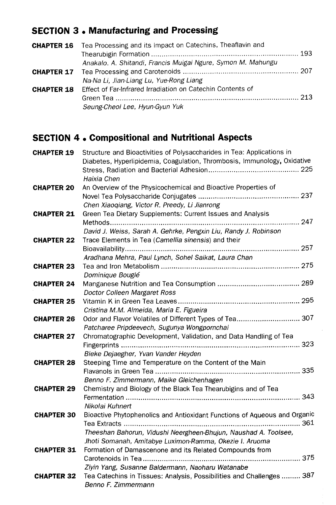# SECTION 3 • Manufacturing and Processing

| <b>CHAPTER 16</b> Tea Processing and its Impact on Catechins, Theaflavin and |
|------------------------------------------------------------------------------|
|                                                                              |
| Anakalo, A. Shitandi, Francis Muigai Ngure, Symon M. Mahungu                 |
|                                                                              |
| Na-Na Li, Jian-Liang Lu, Yue-Rong Liang                                      |
| <b>CHAPTER 18</b> Effect of Far-Infrared Irradiation on Catechin Contents of |
|                                                                              |
| Seung-Cheol Lee, Hyun-Gyun Yuk                                               |

## SECTION 4 • Compositional and Nutritional Aspects

| Haixia Chen<br>An Overview of the Physicochemical and Bioactive Properties of<br><b>CHAPTER 20</b><br>Chen Xiaoqiang, Victor R. Preedy, Li Jianrong<br>Green Tea Dietary Supplements: Current Issues and Analysis<br><b>CHAPTER 21</b><br>Methods<br>David J. Weiss, Sarah A. Gehrke, Pengxin Liu, Randy J. Robinson<br>Trace Elements in Tea (Camellia sinensis) and their<br><b>CHAPTER 22</b><br>Aradhana Mehra, Paul Lynch, Sohel Saikat, Laura Chan<br><b>CHAPTER 23</b><br>Dominique Bouglé<br><b>CHAPTER 24</b><br>Doctor Colleen Margaret Ross<br><b>CHAPTER 25</b><br>Cristina M.M. Almeida, Maria E. Figueira<br>Odor and Flavor Volatiles of Different Types of Tea 307<br><b>CHAPTER 26</b><br>Patcharee Pripdeevech, Sugunya Wongpornchai<br>Chromatographic Development, Validation, and Data Handling of Tea<br><b>CHAPTER 27</b><br>Bieke Dejaegher, Yvan Vander Heyden<br><b>CHAPTER 28</b><br>Steeping Time and Temperature on the Content of the Main<br>Benno F. Zimmermann, Maike Gleichenhagen<br><b>CHAPTER 29</b><br>Chemistry and Biology of the Black Tea Thearubigins and of Tea<br>343 |
|--------------------------------------------------------------------------------------------------------------------------------------------------------------------------------------------------------------------------------------------------------------------------------------------------------------------------------------------------------------------------------------------------------------------------------------------------------------------------------------------------------------------------------------------------------------------------------------------------------------------------------------------------------------------------------------------------------------------------------------------------------------------------------------------------------------------------------------------------------------------------------------------------------------------------------------------------------------------------------------------------------------------------------------------------------------------------------------------------------------------|
|                                                                                                                                                                                                                                                                                                                                                                                                                                                                                                                                                                                                                                                                                                                                                                                                                                                                                                                                                                                                                                                                                                                    |
|                                                                                                                                                                                                                                                                                                                                                                                                                                                                                                                                                                                                                                                                                                                                                                                                                                                                                                                                                                                                                                                                                                                    |
|                                                                                                                                                                                                                                                                                                                                                                                                                                                                                                                                                                                                                                                                                                                                                                                                                                                                                                                                                                                                                                                                                                                    |
|                                                                                                                                                                                                                                                                                                                                                                                                                                                                                                                                                                                                                                                                                                                                                                                                                                                                                                                                                                                                                                                                                                                    |
|                                                                                                                                                                                                                                                                                                                                                                                                                                                                                                                                                                                                                                                                                                                                                                                                                                                                                                                                                                                                                                                                                                                    |
|                                                                                                                                                                                                                                                                                                                                                                                                                                                                                                                                                                                                                                                                                                                                                                                                                                                                                                                                                                                                                                                                                                                    |
|                                                                                                                                                                                                                                                                                                                                                                                                                                                                                                                                                                                                                                                                                                                                                                                                                                                                                                                                                                                                                                                                                                                    |
|                                                                                                                                                                                                                                                                                                                                                                                                                                                                                                                                                                                                                                                                                                                                                                                                                                                                                                                                                                                                                                                                                                                    |
|                                                                                                                                                                                                                                                                                                                                                                                                                                                                                                                                                                                                                                                                                                                                                                                                                                                                                                                                                                                                                                                                                                                    |
|                                                                                                                                                                                                                                                                                                                                                                                                                                                                                                                                                                                                                                                                                                                                                                                                                                                                                                                                                                                                                                                                                                                    |
|                                                                                                                                                                                                                                                                                                                                                                                                                                                                                                                                                                                                                                                                                                                                                                                                                                                                                                                                                                                                                                                                                                                    |
|                                                                                                                                                                                                                                                                                                                                                                                                                                                                                                                                                                                                                                                                                                                                                                                                                                                                                                                                                                                                                                                                                                                    |
|                                                                                                                                                                                                                                                                                                                                                                                                                                                                                                                                                                                                                                                                                                                                                                                                                                                                                                                                                                                                                                                                                                                    |
|                                                                                                                                                                                                                                                                                                                                                                                                                                                                                                                                                                                                                                                                                                                                                                                                                                                                                                                                                                                                                                                                                                                    |
|                                                                                                                                                                                                                                                                                                                                                                                                                                                                                                                                                                                                                                                                                                                                                                                                                                                                                                                                                                                                                                                                                                                    |
|                                                                                                                                                                                                                                                                                                                                                                                                                                                                                                                                                                                                                                                                                                                                                                                                                                                                                                                                                                                                                                                                                                                    |
|                                                                                                                                                                                                                                                                                                                                                                                                                                                                                                                                                                                                                                                                                                                                                                                                                                                                                                                                                                                                                                                                                                                    |
|                                                                                                                                                                                                                                                                                                                                                                                                                                                                                                                                                                                                                                                                                                                                                                                                                                                                                                                                                                                                                                                                                                                    |
|                                                                                                                                                                                                                                                                                                                                                                                                                                                                                                                                                                                                                                                                                                                                                                                                                                                                                                                                                                                                                                                                                                                    |
|                                                                                                                                                                                                                                                                                                                                                                                                                                                                                                                                                                                                                                                                                                                                                                                                                                                                                                                                                                                                                                                                                                                    |
|                                                                                                                                                                                                                                                                                                                                                                                                                                                                                                                                                                                                                                                                                                                                                                                                                                                                                                                                                                                                                                                                                                                    |
|                                                                                                                                                                                                                                                                                                                                                                                                                                                                                                                                                                                                                                                                                                                                                                                                                                                                                                                                                                                                                                                                                                                    |
|                                                                                                                                                                                                                                                                                                                                                                                                                                                                                                                                                                                                                                                                                                                                                                                                                                                                                                                                                                                                                                                                                                                    |
|                                                                                                                                                                                                                                                                                                                                                                                                                                                                                                                                                                                                                                                                                                                                                                                                                                                                                                                                                                                                                                                                                                                    |
|                                                                                                                                                                                                                                                                                                                                                                                                                                                                                                                                                                                                                                                                                                                                                                                                                                                                                                                                                                                                                                                                                                                    |
|                                                                                                                                                                                                                                                                                                                                                                                                                                                                                                                                                                                                                                                                                                                                                                                                                                                                                                                                                                                                                                                                                                                    |
| Nikolai Kuhnert                                                                                                                                                                                                                                                                                                                                                                                                                                                                                                                                                                                                                                                                                                                                                                                                                                                                                                                                                                                                                                                                                                    |
| Bioactive Phytophenolics and Antioxidant Functions of Aqueous and Organic<br><b>CHAPTER 30</b>                                                                                                                                                                                                                                                                                                                                                                                                                                                                                                                                                                                                                                                                                                                                                                                                                                                                                                                                                                                                                     |
|                                                                                                                                                                                                                                                                                                                                                                                                                                                                                                                                                                                                                                                                                                                                                                                                                                                                                                                                                                                                                                                                                                                    |
| Theeshan Bahorun, Vidushi Neergheen-Bhujun, Naushad A. Toolsee,                                                                                                                                                                                                                                                                                                                                                                                                                                                                                                                                                                                                                                                                                                                                                                                                                                                                                                                                                                                                                                                    |
| Jhoti Somanah, Amitabye Luximon-Ramma, Okezie I. Aruoma                                                                                                                                                                                                                                                                                                                                                                                                                                                                                                                                                                                                                                                                                                                                                                                                                                                                                                                                                                                                                                                            |
| Formation of Damascenone and its Related Compounds from<br><b>CHAPTER 31</b>                                                                                                                                                                                                                                                                                                                                                                                                                                                                                                                                                                                                                                                                                                                                                                                                                                                                                                                                                                                                                                       |
|                                                                                                                                                                                                                                                                                                                                                                                                                                                                                                                                                                                                                                                                                                                                                                                                                                                                                                                                                                                                                                                                                                                    |
| Ziyin Yang, Susanne Baldermann, Naoharu Watanabe<br>Tea Catechins in Tissues: Analysis, Possibilities and Challenges  387                                                                                                                                                                                                                                                                                                                                                                                                                                                                                                                                                                                                                                                                                                                                                                                                                                                                                                                                                                                          |
| <b>CHAPTER 32</b><br>Benno F. Zimmermann                                                                                                                                                                                                                                                                                                                                                                                                                                                                                                                                                                                                                                                                                                                                                                                                                                                                                                                                                                                                                                                                           |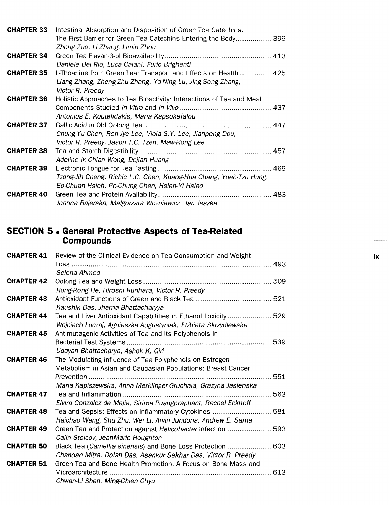| <b>CHAPTER 33</b> | Intestinal Absorption and Disposition of Green Tea Catechins:        |
|-------------------|----------------------------------------------------------------------|
|                   | The First Barrier for Green Tea Catechins Entering the Body 399      |
|                   | Zhong Zuo, Li Zhang, Limin Zhou                                      |
| <b>CHAPTER 34</b> |                                                                      |
|                   | Daniele Del Rio, Luca Calani, Furio Brighenti                        |
| <b>CHAPTER 35</b> | L-Theanine from Green Tea: Transport and Effects on Health  425      |
|                   | Liang Zhang, Zheng-Zhu Zhang, Ya-Ning Lu, Jing-Song Zhang,           |
|                   | Victor R. Preedy                                                     |
| <b>CHAPTER 36</b> | Holistic Approaches to Tea Bioactivity: Interactions of Tea and Meal |
|                   |                                                                      |
|                   | Antonios E. Koutelidakis, Maria Kapsokefalou                         |
| <b>CHAPTER 37</b> |                                                                      |
|                   | Chung-Yu Chen, Ren-Jye Lee, Viola S.Y. Lee, Jianpeng Dou,            |
|                   | Victor R. Preedy, Jason T.C. Tzen, Maw-Rong Lee                      |
| <b>CHAPTER 38</b> |                                                                      |
|                   | Adeline Ik Chian Wong, Dejian Huang                                  |
| <b>CHAPTER 39</b> |                                                                      |
|                   | Tzong-Jih Cheng, Richie L.C. Chen, Kuang-Hua Chang, Yueh-Tzu Hung,   |
|                   | Bo-Chuan Hsieh, Po-Chung Chen, Hsien-Yi Hsiao                        |
| <b>CHAPTER 40</b> |                                                                      |
|                   | Joanna Bajerska, Malgorzata Wozniewicz, Jan Jeszka                   |

#### SECTION 5 • General Protective Aspects of Tea-Related **Compounds**

|                   | <b>CHAPTER 41</b> Review of the Clinical Evidence on Tea Consumption and Weight                                                 | ix |
|-------------------|---------------------------------------------------------------------------------------------------------------------------------|----|
|                   | Selena Ahmed                                                                                                                    |    |
| <b>CHAPTER 42</b> | Rong-Rong He, Hiroshi Kurihara, Victor R. Preedy                                                                                |    |
| <b>CHAPTER 43</b> | Kaushik Das, Jharna Bhattacharyya                                                                                               |    |
| <b>CHAPTER 44</b> | Tea and Liver Antioxidant Capabilities in Ethanol Toxicity 529<br>Wojciech Łuczaj, Agnieszka Augustyniak, Elżbieta Skrzydlewska |    |
| <b>CHAPTER 45</b> | Antimutagenic Activities of Tea and its Polyphenols in                                                                          |    |
|                   | Udayan Bhattacharya, Ashok K. Giri                                                                                              |    |
| <b>CHAPTER 46</b> | The Modulating Influence of Tea Polyphenols on Estrogen                                                                         |    |
|                   | Metabolism in Asian and Caucasian Populations: Breast Cancer                                                                    |    |
|                   |                                                                                                                                 |    |
|                   | Maria Kapiszewska, Anna Merklinger-Gruchala, Grazyna Jasienska                                                                  |    |
| <b>CHAPTER 47</b> |                                                                                                                                 |    |
|                   | Elvira Gonzalez de Mejia, Sirima Puangpraphant, Rachel Eckhoff                                                                  |    |
| <b>CHAPTER 48</b> | Tea and Sepsis: Effects on Inflammatory Cytokines  581                                                                          |    |
|                   | Haichao Wang, Shu Zhu, Wei Li, Arvin Jundoria, Andrew E. Sama                                                                   |    |
| <b>CHAPTER 49</b> | Green Tea and Protection against <i>Helicobacter</i> Infection  593                                                             |    |
|                   | Calin Stoicov, JeanMarie Houghton                                                                                               |    |
| <b>CHAPTER 50</b> | Black Tea (Camellia sinensis) and Bone Loss Protection  603                                                                     |    |
|                   | Chandan Mitra, Dolan Das, Asankur Sekhar Das, Victor R. Preedy                                                                  |    |
| <b>CHAPTER 51</b> | Green Tea and Bone Health Promotion: A Focus on Bone Mass and                                                                   |    |
|                   | Chwan-Li Shen, Ming-Chien Chyu                                                                                                  |    |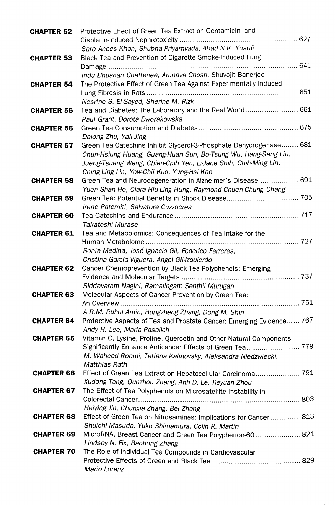| <b>CHAPTER 52</b> | Protective Effect of Green Tea Extract on Gentamicin- and<br>Sara Anees Khan, Shubha Priyamvada, Ahad N.K. Yusufi                                                                                                                                     |
|-------------------|-------------------------------------------------------------------------------------------------------------------------------------------------------------------------------------------------------------------------------------------------------|
| <b>CHAPTER 53</b> | Black Tea and Prevention of Cigarette Smoke-Induced Lung                                                                                                                                                                                              |
| <b>CHAPTER 54</b> | Indu Bhushan Chatterjee, Arunava Ghosh, Shuvojit Banerjee<br>The Protective Effect of Green Tea Against Experimentally Induced<br>Nesrine S. El-Sayed, Sherine M. Rizk                                                                                |
| <b>CHAPTER 55</b> | Tea and Diabetes: The Laboratory and the Real World 661<br>Paul Grant, Dorota Dworakowska                                                                                                                                                             |
| <b>CHAPTER 56</b> | Dalong Zhu, Yali Jing                                                                                                                                                                                                                                 |
| <b>CHAPTER 57</b> | Green Tea Catechins Inhibit Glycerol-3-Phosphate Dehydrogenase 681<br>Chun-Hsiung Huang, Guang-Huan Sun, Bo-Tsung Wu, Hang-Seng Liu,<br>Jueng-Tsueng Weng, Chien-Chih Yeh, Li-Jane Shih, Chih-Ming Lin,<br>Ching-Ling Lin, Yow-Chii Kuo, Yung-Hsi Kao |
| <b>CHAPTER 58</b> | Green Tea and Neurodegeneration in Alzheimer's Disease  691<br>Yuen-Shan Ho, Clara Hiu-Ling Hung, Raymond Chuen-Chung Chang                                                                                                                           |
| <b>CHAPTER 59</b> | Irene Paterniti, Salvatore Cuzzocrea                                                                                                                                                                                                                  |
| <b>CHAPTER 60</b> | Takatoshi Murase                                                                                                                                                                                                                                      |
| <b>CHAPTER 61</b> | Tea and Metabolomics: Consequences of Tea Intake for the<br>Human Metabolome<br>Sonia Medina, José Ignacio Gil, Federico Ferreres,                                                                                                                    |
| <b>CHAPTER 62</b> | Cristina García-Viguera, Angel Gil-Izquierdo<br>Cancer Chemoprevention by Black Tea Polyphenols: Emerging<br>Siddavaram Nagini, Ramalingam Senthil Murugan                                                                                            |
| <b>CHAPTER 63</b> | Molecular Aspects of Cancer Prevention by Green Tea:                                                                                                                                                                                                  |
| <b>CHAPTER 64</b> | A.R.M. Ruhul Amin, Hongzheng Zhang, Dong M. Shin<br>Protective Aspects of Tea and Prostate Cancer: Emerging Evidence 767<br>Andy H. Lee, Maria Pasalich                                                                                               |
| <b>CHAPTER 65</b> | Vitamin C, Lysine, Proline, Quercetin and Other Natural Components<br>M. Waheed Roomi, Tatiana Kalinovsky, Aleksandra Niedzwiecki,<br><b>Matthias Rath</b>                                                                                            |
| <b>CHAPTER 66</b> | Effect of Green Tea Extract on Hepatocellular Carcinoma 791<br>Xudong Tang, Qunzhou Zhang, Anh D. Le, Keyuan Zhou                                                                                                                                     |
| <b>CHAPTER 67</b> | The Effect of Tea Polyphenols on Microsatellite Instability in<br>Heiying Jin, Chunxia Zhang, Bei Zhang                                                                                                                                               |
| <b>CHAPTER 68</b> | Effect of Green Tea on Nitrosamines: Implications for Cancer 813<br>Shuichi Masuda, Yuko Shimamura, Colin R. Martin                                                                                                                                   |
| <b>CHAPTER 69</b> | MicroRNA, Breast Cancer and Green Tea Polyphenon-60  821<br>Lindsey N. Fix, Baohong Zhang                                                                                                                                                             |
| <b>CHAPTER 70</b> | The Role of Individual Tea Compounds in Cardiovascular<br>Mario Lorenz                                                                                                                                                                                |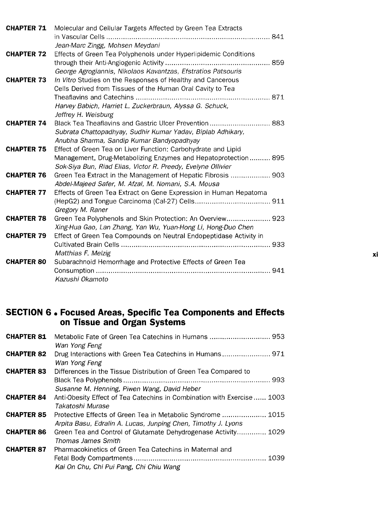| <b>CHAPTER 71</b> | Molecular and Cellular Targets Affected by Green Tea Extracts      |    |
|-------------------|--------------------------------------------------------------------|----|
|                   |                                                                    |    |
|                   | Jean-Marc Zingg, Mohsen Meydani                                    |    |
| <b>CHAPTER 72</b> | Effects of Green Tea Polyphenols under Hyperlipidemic Conditions   |    |
|                   |                                                                    |    |
|                   | George Agrogiannis, Nikolaos Kavantzas, Efstratios Patsouris       |    |
| <b>CHAPTER 73</b> | In Vitro Studies on the Responses of Healthy and Cancerous         |    |
|                   | Cells Derived from Tissues of the Human Oral Cavity to Tea         |    |
|                   |                                                                    |    |
|                   | Harvey Babich, Harriet L. Zuckerbraun, Alyssa G. Schuck,           |    |
|                   | Jeffrey H. Weisburg                                                |    |
| <b>CHAPTER 74</b> | Black Tea Theaflavins and Gastric Ulcer Prevention 883             |    |
|                   | Subrata Chattopadhyay, Sudhir Kumar Yadav, Biplab Adhikary,        |    |
|                   | Anubha Sharma, Sandip Kumar Bandyopadhyay                          |    |
| <b>CHAPTER 75</b> | Effect of Green Tea on Liver Function: Carbohydrate and Lipid      |    |
|                   | Management, Drug-Metabolizing Enzymes and Hepatoprotection 895     |    |
|                   | Sok-Siya Bun, Riad Elias, Victor R. Preedy, Evelyne Ollivier       |    |
| <b>CHAPTER 76</b> | Green Tea Extract in the Management of Hepatic Fibrosis  903       |    |
|                   | Abdel-Majeed Safer, M. Afzal, M. Nomani, S.A. Mousa                |    |
| <b>CHAPTER 77</b> | Effects of Green Tea Extract on Gene Expression in Human Hepatoma  |    |
|                   |                                                                    |    |
|                   | Gregory M. Raner                                                   |    |
| <b>CHAPTER 78</b> | Green Tea Polyphenols and Skin Protection: An Overview 923         |    |
|                   | Xing-Hua Gao, Lan Zhang, Yan Wu, Yuan-Hong Li, Hong-Duo Chen       |    |
| <b>CHAPTER 79</b> | Effect of Green Tea Compounds on Neutral Endopeptidase Activity in |    |
|                   |                                                                    |    |
|                   | Matthias F. Melzig                                                 | xi |
| <b>CHAPTER 80</b> | Subarachnoid Hemorrhage and Protective Effects of Green Tea        |    |
|                   |                                                                    |    |
|                   | Kazushi Okamoto                                                    |    |

#### SECTION 6 • Focused Areas, Specific Tea Components and Effects on Tissue and Organ Systems

| <b>CHAPTER 81</b> | Wan Yong Feng                                                                                                                |
|-------------------|------------------------------------------------------------------------------------------------------------------------------|
| <b>CHAPTER 82</b> | Wan Yong Feng                                                                                                                |
| <b>CHAPTER 83</b> | Differences in the Tissue Distribution of Green Tea Compared to<br>Susanne M. Henning, Piwen Wang, David Heber               |
| <b>CHAPTER 84</b> | Anti-Obesity Effect of Tea Catechins in Combination with Exercise 1003<br>Takatoshi Murase                                   |
| <b>CHAPTER 85</b> | Protective Effects of Green Tea in Metabolic Syndrome  1015<br>Arpita Basu, Edralin A. Lucas, Junping Chen, Timothy J. Lyons |
| <b>CHAPTER 86</b> | Green Tea and Control of Glutamate Dehydrogenase Activity 1029<br><b>Thomas James Smith</b>                                  |
| <b>CHAPTER 87</b> | Pharmacokinetics of Green Tea Catechins in Maternal and<br>Kai On Chu, Chi Pui Pang, Chi Chiu Wang                           |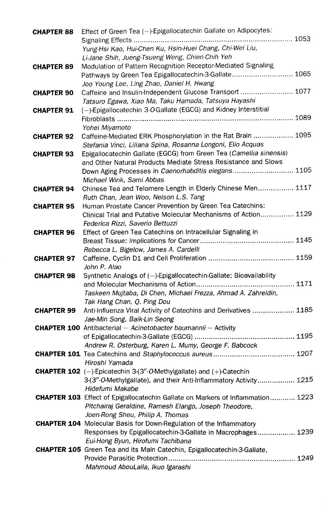| <b>CHAPTER 88</b> | Effect of Green Tea (-)-Epigallocatechin Gallate on Adipocytes:                                 |
|-------------------|-------------------------------------------------------------------------------------------------|
|                   | Yung-Hsi Kao, Hui-Chen Ku, Hsin-Huei Chang, Chi-Wei Liu,                                        |
|                   | Li-Jane Shih, Jueng-Tsueng Weng, Chien-Chih Yeh                                                 |
| <b>CHAPTER 89</b> | Modulation of Pattern Recognition Receptor-Mediated Signaling                                   |
|                   | Pathways by Green Tea Epigallocatechin-3-Gallate 1065                                           |
|                   | Joo Young Lee, Ling Zhao, Daniel H. Hwang                                                       |
| <b>CHAPTER 90</b> | Caffeine and Insulin-Independent Glucose Transport  1077                                        |
|                   | Tatsuro Egawa, Xiao Ma, Taku Hamada, Tatsuya Hayashi                                            |
| <b>CHAPTER 91</b> | (-)-Epigallocatechin 3-O-Gallate (EGCG) and Kidney Interstitial                                 |
|                   |                                                                                                 |
|                   | Yohei Miyamoto                                                                                  |
| <b>CHAPTER 92</b> | Caffeine-Mediated ERK Phosphorylation in the Rat Brain  1095                                    |
|                   | Stefania Vinci, Liliana Spina, Rosanna Longoni, Elio Acquas                                     |
| <b>CHAPTER 93</b> | Epigallocatechin Gallate (EGCG) from Green Tea (Camellia sinensis)                              |
|                   | and Other Natural Products Mediate Stress Resistance and Slows                                  |
|                   | Down Aging Processes in Caenorhabditis elegans 1105                                             |
|                   | Michael Wink, Sami Abbas                                                                        |
| <b>CHAPTER 94</b> | Chinese Tea and Telomere Length in Elderly Chinese Men 1117                                     |
|                   | Ruth Chan, Jean Woo, Nelson L.S. Tang                                                           |
| <b>CHAPTER 95</b> | Human Prostate Cancer Prevention by Green Tea Catechins:                                        |
|                   | Clinical Trial and Putative Molecular Mechanisms of Action 1129                                 |
|                   | Federica Rizzi, Saverio Bettuzzi<br>Effect of Green Tea Catechins on Intracellular Signaling in |
| <b>CHAPTER 96</b> |                                                                                                 |
|                   | Rebecca L. Bigelow, James A. Cardelli                                                           |
| <b>CHAPTER 97</b> |                                                                                                 |
|                   | John P. Alao                                                                                    |
| <b>CHAPTER 98</b> | Synthetic Analogs of (-)-Epigallocatechin-Gallate: Bioavailability                              |
|                   |                                                                                                 |
|                   | Taskeen Mujtaba, Di Chen, Michael Frezza, Ahmad A. Zahreldin,                                   |
|                   | Tak Hang Chan, Q. Ping Dou                                                                      |
|                   | <b>CHAPTER 99</b> Anti-Influenza Viral Activity of Catechins and Derivatives  1185              |
|                   | Jae-Min Song, Baik-Lin Seong                                                                    |
|                   | <b>CHAPTER 100</b> Antibacterial - Acinetobacter baumannii - Activity                           |
|                   |                                                                                                 |
|                   | Andrew R. Osterburg, Karen L. Mumy, George F. Babcock                                           |
|                   | Hiroshi Yamada                                                                                  |
|                   | <b>CHAPTER 102</b> ( $-$ )-Epicatechin 3-(3"-O-Methylgallate) and ( $+$ )-Catechin              |
|                   | 3-(3"-O-Methylgallate), and their Anti-Inflammatory Activity 1215                               |
|                   | Hidefumi Makabe                                                                                 |
|                   | <b>CHAPTER 103</b> Effect of Epigallocatechin Gallate on Markers of Inflammation 1223           |
|                   | Pitchairaj Geraldine, Ramesh Elango, Joseph Theodore,                                           |
|                   | Joen-Rong Sheu, Philip A. Thomas                                                                |
|                   | <b>CHAPTER 104</b> Molecular Basis for Down-Regulation of the Inflammatory                      |
|                   | Responses by Epigallocatechin-3-Gallate in Macrophages 1239                                     |
|                   | Eui-Hong Byun, Hirofumi Tachibana                                                               |
|                   | <b>CHAPTER 105</b> Green Tea and its Main Catechin, Epigallocatechin-3-Gallate,                 |
|                   |                                                                                                 |
|                   | Mahmoud AbouLaila, Ikuo Igarashi                                                                |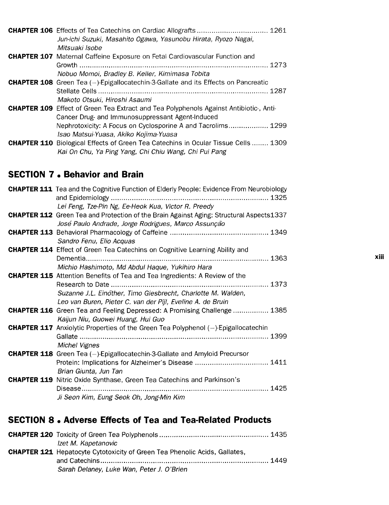| <b>CHAPTER 106</b> Effects of Tea Catechins on Cardiac Allografts  1261                       |  |
|-----------------------------------------------------------------------------------------------|--|
| Jun-ichi Suzuki, Masahito Ogawa, Yasunobu Hirata, Ryozo Nagai,                                |  |
| Mitsuaki Isobe                                                                                |  |
| <b>CHAPTER 107</b> Maternal Caffeine Exposure on Fetal Cardiovascular Function and            |  |
|                                                                                               |  |
| Nobuo Momoi, Bradley B. Keller, Kimimasa Tobita                                               |  |
| <b>CHAPTER 108</b> Green Tea (-)-Epigallocatechin-3-Gallate and its Effects on Pancreatic     |  |
|                                                                                               |  |
| Makoto Otsuki, Hiroshi Asaumi                                                                 |  |
| <b>CHAPTER 109</b> Effect of Green Tea Extract and Tea Polyphenols Against Antibiotic-, Anti- |  |
| Cancer Drug- and Immunosuppressant Agent-Induced                                              |  |
| Nephrotoxicity: A Focus on Cyclosporine A and Tacrolims 1299                                  |  |
| Isao Matsui-Yuasa, Akiko Kojima-Yuasa                                                         |  |
| <b>CHAPTER 110</b> Biological Effects of Green Tea Catechins in Ocular Tissue Cells  1309     |  |
| Kai On Chu, Ya Ping Yang, Chi Chiu Wang, Chi Pui Pang                                         |  |

#### SECTION 7 • Behavior and Brain

| <b>CHAPTER 111</b> Tea and the Cognitive Function of Elderly People: Evidence From Neurobiology                                                                                    |
|------------------------------------------------------------------------------------------------------------------------------------------------------------------------------------|
| Lei Feng, Tze-Pin Ng, Ee-Heok Kua, Victor R. Preedy                                                                                                                                |
| <b>CHAPTER 112</b> Green Tea and Protection of the Brain Against Aging: Structural Aspects1337<br>José Paulo Andrade, Jorge Rodrigues, Marco Assunção                              |
| Sandro Fenu, Elio Acquas                                                                                                                                                           |
| <b>CHAPTER 114</b> Effect of Green Tea Catechins on Cognitive Learning Ability and<br>Michio Hashimoto, Md Abdul Haque, Yukihiro Hara                                              |
| <b>CHAPTER 115</b> Attention Benefits of Tea and Tea Ingredients: A Review of the<br>Suzanne J.L. Einöther, Timo Giesbrecht, Charlotte M. Walden,                                  |
| Leo van Buren, Pieter C. van der Pijl, Eveline A. de Bruin<br><b>CHAPTER 116</b> Green Tea and Feeling Depressed: A Promising Challenge  1385<br>Kaijun Niu, Guowei Huang, Hui Guo |
| <b>CHAPTER 117</b> Anxiolytic Properties of the Green Tea Polyphenol $(-)$ -Epigallocatechin<br><b>Michel Vignes</b>                                                               |
| <b>CHAPTER 118</b> Green Tea $(-)$ -Epigallocatechin-3-Gallate and Amyloid Precursor<br>Brian Giunta, Jun Tan                                                                      |
| <b>CHAPTER 119</b> Nitric Oxide Synthase, Green Tea Catechins and Parkinson's<br>Ji Seon Kim, Eung Seok Oh, Jong-Min Kim                                                           |

#### SECTION 8 • Adverse Effects of Tea and Tea-Related Products

| Izet M. Kapetanovic                                                               |  |
|-----------------------------------------------------------------------------------|--|
| <b>CHAPTER 121</b> Hepatocyte Cytotoxicity of Green Tea Phenolic Acids, Gallates, |  |
|                                                                                   |  |
| Sarah Delaney, Luke Wan, Peter J. O'Brien                                         |  |